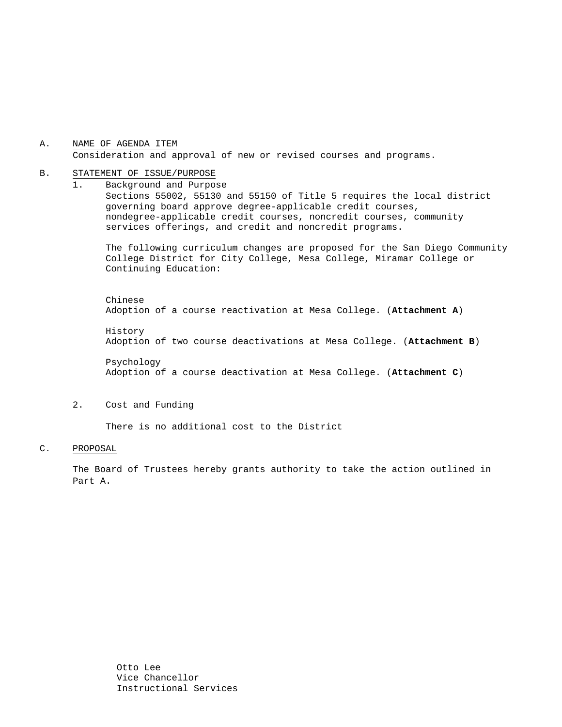### A. NAME OF AGENDA ITEM Consideration and approval of new or revised courses and programs.

#### B. STATEMENT OF ISSUE/PURPOSE

1. Background and Purpose Sections 55002, 55130 and 55150 of Title 5 requires the local district governing board approve degree-applicable credit courses, nondegree-applicable credit courses, noncredit courses, community services offerings, and credit and noncredit programs.

The following curriculum changes are proposed for the San Diego Community College District for City College, Mesa College, Miramar College or Continuing Education:

 Chinese Adoption of a course reactivation at Mesa College. (**Attachment A**)

History Adoption of two course deactivations at Mesa College. (**Attachment B**)

Psychology Adoption of a course deactivation at Mesa College. (**Attachment C**)

#### 2. Cost and Funding

There is no additional cost to the District

#### C. PROPOSAL

The Board of Trustees hereby grants authority to take the action outlined in Part A.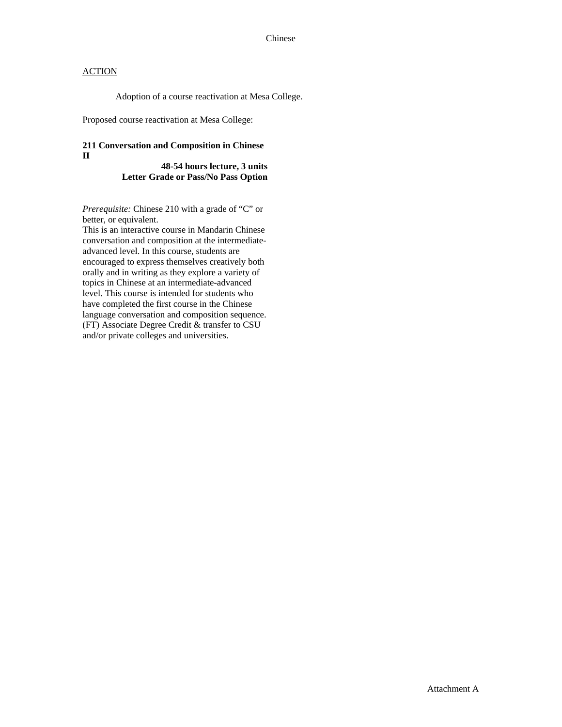## **ACTION**

Adoption of a course reactivation at Mesa College.

Proposed course reactivation at Mesa College:

### **211 Conversation and Composition in Chinese II**

**48-54 hours lecture, 3 units Letter Grade or Pass/No Pass Option** 

*Prerequisite:* Chinese 210 with a grade of "C" or better, or equivalent.

This is an interactive course in Mandarin Chinese conversation and composition at the intermediateadvanced level. In this course, students are encouraged to express themselves creatively both orally and in writing as they explore a variety of topics in Chinese at an intermediate-advanced level. This course is intended for students who have completed the first course in the Chinese language conversation and composition sequence. (FT) Associate Degree Credit & transfer to CSU and/or private colleges and universities.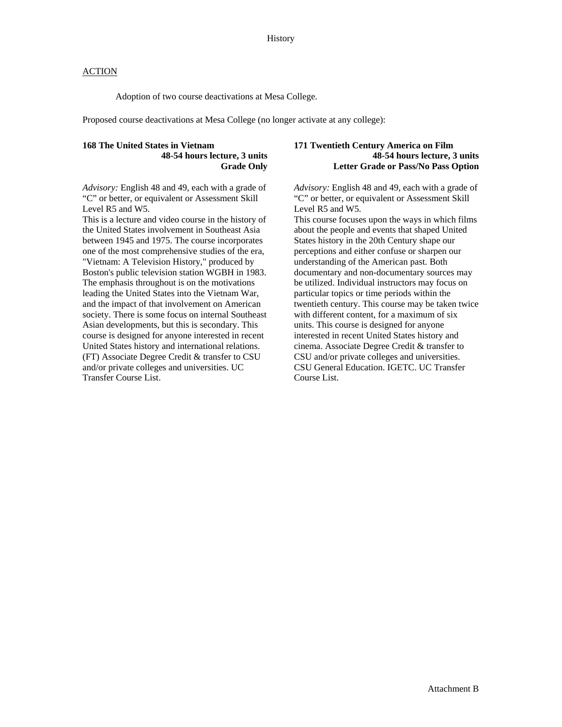### **ACTION**

Adoption of two course deactivations at Mesa College.

Proposed course deactivations at Mesa College (no longer activate at any college):

### **168 The United States in Vietnam 48-54 hours lecture, 3 units Grade Only**

*Advisory:* English 48 and 49, each with a grade of "C" or better, or equivalent or Assessment Skill Level R5 and W5.

This is a lecture and video course in the history of the United States involvement in Southeast Asia between 1945 and 1975. The course incorporates one of the most comprehensive studies of the era, "Vietnam: A Television History," produced by Boston's public television station WGBH in 1983. The emphasis throughout is on the motivations leading the United States into the Vietnam War, and the impact of that involvement on American society. There is some focus on internal Southeast Asian developments, but this is secondary. This course is designed for anyone interested in recent United States history and international relations. (FT) Associate Degree Credit & transfer to CSU and/or private colleges and universities. UC Transfer Course List.

### **171 Twentieth Century America on Film 48-54 hours lecture, 3 units Letter Grade or Pass/No Pass Option**

*Advisory:* English 48 and 49, each with a grade of "C" or better, or equivalent or Assessment Skill Level R5 and W5.

This course focuses upon the ways in which films about the people and events that shaped United States history in the 20th Century shape our perceptions and either confuse or sharpen our understanding of the American past. Both documentary and non-documentary sources may be utilized. Individual instructors may focus on particular topics or time periods within the twentieth century. This course may be taken twice with different content, for a maximum of six units. This course is designed for anyone interested in recent United States history and cinema. Associate Degree Credit & transfer to CSU and/or private colleges and universities. CSU General Education. IGETC. UC Transfer Course List.